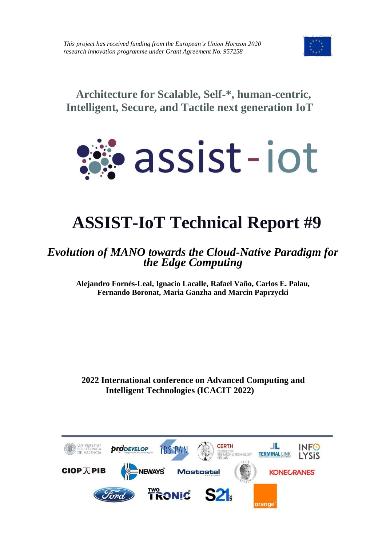

**Architecture for Scalable, Self-\*, human-centric, Intelligent, Secure, and Tactile next generation IoT**



# **ASSIST-IoT Technical Report #9**

## *Evolution of MANO towards the Cloud-Native Paradigm for the Edge Computing*

**Alejandro Fornés-Leal, Ignacio Lacalle, Rafael Vaño, Carlos E. Palau, Fernando Boronat, Maria Ganzha and Marcin Paprzycki**

**2022 International conference on Advanced Computing and Intelligent Technologies (ICACIT 2022)**

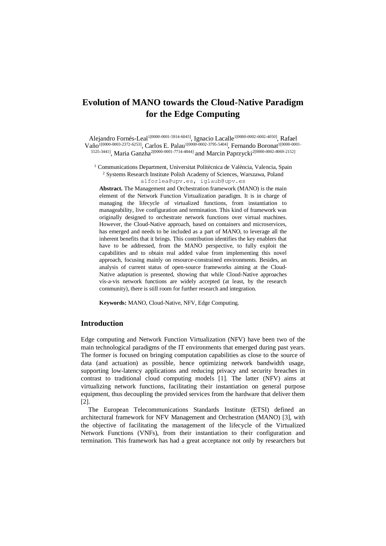### **Evolution of MANO towards the Cloud-Native Paradigm for the Edge Computing**

Alejandro Fornés-Leal<sup>1[0000-0001-5914-6045]</sup>, Ignacio Lacalle<sup>1[0000-0002-6002-4050]</sup>, Rafael  $\rm V$ año<sup>1[0000-0003-2372-6253]</sup>, Carlos E. Palau<sup>1[0000-0002-3795-5404]</sup>, Fernando Boronat<sup>1[0000-0001-</sup> 5525-3441], Maria Ganzha<sup>2[0000-0001-7714-4844]</sup> and Marcin Paprzycki<sup>2[0000-0002-8069-2152]</sup>

<sup>1</sup> Communications Department, Universitat Politècnica de València, Valencia, Spain <sup>2</sup> Systems Research Institute Polish Academy of Sciences, Warszawa, Poland

[alforlea@upv.es,](mailto:alforlea@upv.es) iglaub@upv.es

**Abstract.** The Management and Orchestration framework (MANO) is the main element of the Network Function Virtualization paradigm. It is in charge of managing the lifecycle of virtualized functions, from instantiation to manageability, live configuration and termination. This kind of framework was originally designed to orchestrate network functions over virtual machines. However, the Cloud-Native approach, based on containers and microservices, has emerged and needs to be included as a part of MANO, to leverage all the inherent benefits that it brings. This contribution identifies the key enablers that have to be addressed, from the MANO perspective, to fully exploit the capabilities and to obtain real added value from implementing this novel approach, focusing mainly on resource-constrained environments. Besides, an analysis of current status of open-source frameworks aiming at the Cloud-Native adaptation is presented, showing that while Cloud-Native approaches vís-a-vis network functions are widely accepted (at least, by the research community), there is still room for further research and integration.

**Keywords:** MANO, Cloud-Native, NFV, Edge Computing.

#### **Introduction**

Edge computing and Network Function Virtualization (NFV) have been two of the main technological paradigms of the IT environments that emerged during past years. The former is focused on bringing computation capabilities as close to the source of data (and actuation) as possible, hence optimizing network bandwidth usage, supporting low-latency applications and reducing privacy and security breaches in contrast to traditional cloud computing models [1]. The latter (NFV) aims at virtualizing network functions, facilitating their instantiation on general purpose equipment, thus decoupling the provided services from the hardware that deliver them [2].

The European Telecommunications Standards Institute (ETSI) defined an architectural framework for NFV Management and Orchestration (MANO) [3], with the objective of facilitating the management of the lifecycle of the Virtualized Network Functions (VNFs), from their instantiation to their configuration and termination. This framework has had a great acceptance not only by researchers but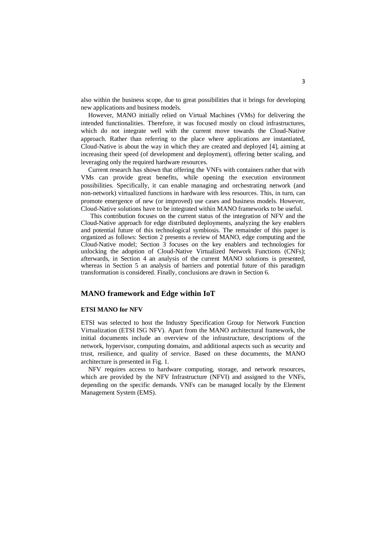also within the business scope, due to great possibilities that it brings for developing new applications and business models.

However, MANO initially relied on Virtual Machines (VMs) for delivering the intended functionalities. Therefore, it was focused mostly on cloud infrastructures, which do not integrate well with the current move towards the Cloud-Native approach. Rather than referring to the place where applications are instantiated, Cloud-Native is about the way in which they are created and deployed [4], aiming at increasing their speed (of development and deployment), offering better scaling, and leveraging only the required hardware resources.

Current research has shown that offering the VNFs with containers rather that with VMs can provide great benefits, while opening the execution environment possibilities. Specifically, it can enable managing and orchestrating network (and non-network) virtualized functions in hardware with less resources. This, in turn, can promote emergence of new (or improved) use cases and business models. However, Cloud-Native solutions have to be integrated within MANO frameworks to be useful.

This contribution focuses on the current status of the integration of NFV and the Cloud-Native approach for edge distributed deployments, analyzing the key enablers and potential future of this technological symbiosis. The remainder of this paper is organized as follows: Section 2 presents a review of MANO, edge computing and the Cloud-Native model; Section 3 focuses on the key enablers and technologies for unlocking the adoption of Cloud-Native Virtualized Network Functions (CNFs); afterwards, in Section 4 an analysis of the current MANO solutions is presented, whereas in Section 5 an analysis of barriers and potential future of this paradigm transformation is considered. Finally, conclusions are drawn in Section 6.

#### **MANO framework and Edge within IoT**

#### **ETSI MANO for NFV**

ETSI was selected to host the Industry Specification Group for Network Function Virtualization (ETSI ISG NFV). Apart from the MANO architectural framework, the initial documents include an overview of the infrastructure, descriptions of the network, hypervisor, computing domains, and additional aspects such as security and trust, resilience, and quality of service. Based on these documents, the MANO architecture is presented i[n Fig. 1.](#page-3-0)

NFV requires access to hardware computing, storage, and network resources, which are provided by the NFV Infrastructure (NFVI) and assigned to the VNFs, depending on the specific demands. VNFs can be managed locally by the Element Management System (EMS).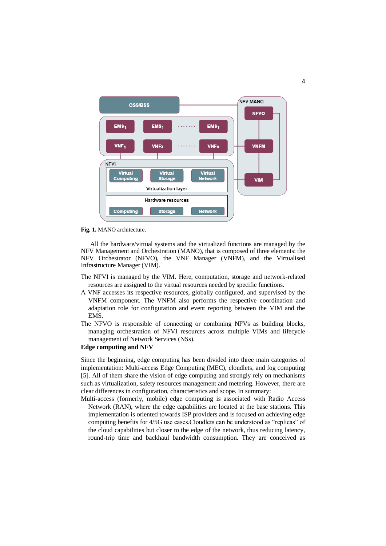

<span id="page-3-0"></span>**Fig. 1.** MANO architecture.

All the hardware/virtual systems and the virtualized functions are managed by the NFV Management and Orchestration (MANO), that is composed of three elements: the NFV Orchestrator (NFVO), the VNF Manager (VNFM), and the Virtualised Infrastructure Manager (VIM).

- The NFVI is managed by the VIM. Here, computation, storage and network-related resources are assigned to the virtual resources needed by specific functions.
- A VNF accesses its respective resources, globally configured, and supervised by the VNFM component. The VNFM also performs the respective coordination and adaptation role for configuration and event reporting between the VIM and the EMS.
- The NFVO is responsible of connecting or combining NFVs as building blocks, managing orchestration of NFVI resources across multiple VIMs and lifecycle management of Network Services (NSs).

#### **Edge computing and NFV**

Since the beginning, edge computing has been divided into three main categories of implementation: Multi-access Edge Computing (MEC), cloudlets, and fog computing [5]. All of them share the vision of edge computing and strongly rely on mechanisms such as virtualization, safety resources management and metering. However, there are clear differences in configuration, characteristics and scope. In summary:

Multi-access (formerly, mobile) edge computing is associated with Radio Access Network (RAN), where the edge capabilities are located at the base stations. This implementation is oriented towards ISP providers and is focused on achieving edge computing benefits for 4/5G use cases.Cloudlets can be understood as "replicas" of the cloud capabilities but closer to the edge of the network, thus reducing latency, round-trip time and backhaul bandwidth consumption. They are conceived as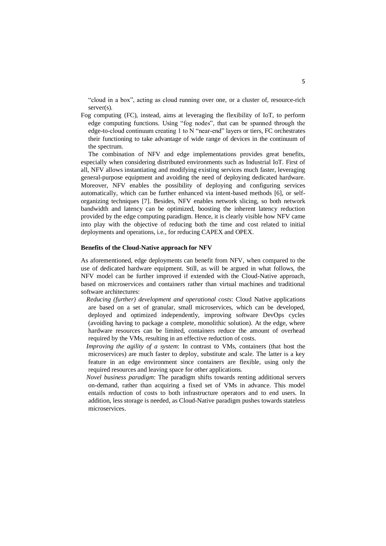"cloud in a box", acting as cloud running over one, or a cluster of, resource-rich server(s).

Fog computing (FC), instead, aims at leveraging the flexibility of IoT, to perform edge computing functions. Using "fog nodes", that can be spanned through the edge-to-cloud continuum creating 1 to N "near-end" layers or tiers, FC orchestrates their functioning to take advantage of wide range of devices in the continuum of the spectrum.

The combination of NFV and edge implementations provides great benefits, especially when considering distributed environments such as Industrial IoT. First of all, NFV allows instantiating and modifying existing services much faster, leveraging general-purpose equipment and avoiding the need of deploying dedicated hardware. Moreover, NFV enables the possibility of deploying and configuring services automatically, which can be further enhanced via intent-based methods [6], or selforganizing techniques [7]. Besides, NFV enables network slicing, so both network bandwidth and latency can be optimized, boosting the inherent latency reduction provided by the edge computing paradigm. Hence, it is clearly visible how NFV came into play with the objective of reducing both the time and cost related to initial deployments and operations, i.e., for reducing CAPEX and OPEX.

#### **Benefits of the Cloud-Native approach for NFV**

As aforementioned, edge deployments can benefit from NFV, when compared to the use of dedicated hardware equipment. Still, as will be argued in what follows, the NFV model can be further improved if extended with the Cloud-Native approach, based on microservices and containers rather than virtual machines and traditional software architectures:

*Reducing (further) development and operational costs*: Cloud Native applications are based on a set of granular, small microservices, which can be developed, deployed and optimized independently, improving software DevOps cycles (avoiding having to package a complete, monolithic solution). At the edge, where hardware resources can be limited, containers reduce the amount of overhead required by the VMs, resulting in an effective reduction of costs.

*Improving the agility of a system*: In contrast to VMs, containers (that host the microservices) are much faster to deploy, substitute and scale. The latter is a key feature in an edge environment since containers are flexible, using only the required resources and leaving space for other applications.

*Novel business paradigm*: The paradigm shifts towards renting additional servers on-demand, rather than acquiring a fixed set of VMs in advance. This model entails reduction of costs to both infrastructure operators and to end users. In addition, less storage is needed, as Cloud-Native paradigm pushes towards stateless microservices.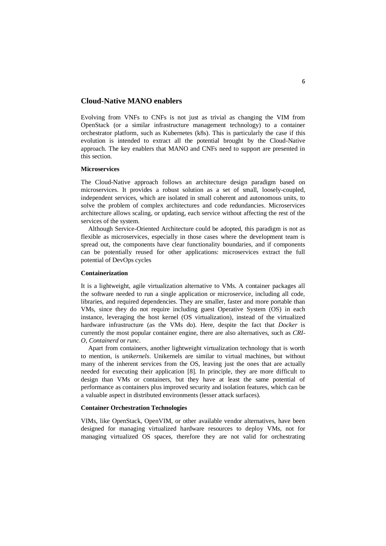#### **Cloud-Native MANO enablers**

Evolving from VNFs to CNFs is not just as trivial as changing the VIM from OpenStack (or a similar infrastructure management technology) to a container orchestrator platform, such as Kubernetes (k8s). This is particularly the case if this evolution is intended to extract all the potential brought by the Cloud-Native approach. The key enablers that MANO and CNFs need to support are presented in this section.

#### **Microservices**

The Cloud-Native approach follows an architecture design paradigm based on microservices. It provides a robust solution as a set of small, loosely-coupled, independent services, which are isolated in small coherent and autonomous units, to solve the problem of complex architectures and code redundancies. Microservices architecture allows scaling, or updating, each service without affecting the rest of the services of the system.

Although Service-Oriented Architecture could be adopted, this paradigm is not as flexible as microservices, especially in those cases where the development team is spread out, the components have clear functionality boundaries, and if components can be potentially reused for other applications: microservices extract the full potential of DevOps cycles

#### **Containerization**

It is a lightweight, agile virtualization alternative to VMs. A container packages all the software needed to run a single application or microservice, including all code, libraries, and required dependencies. They are smaller, faster and more portable than VMs, since they do not require including guest Operative System (OS) in each instance, leveraging the host kernel (OS virtualization), instead of the virtualized hardware infrastructure (as the VMs do). Here, despite the fact that *Docker* is currently the most popular container engine, there are also alternatives, such as *CRI-O*, *Containerd* or *runc*.

Apart from containers, another lightweight virtualization technology that is worth to mention, is *unikernels*. Unikernels are similar to virtual machines, but without many of the inherent services from the OS, leaving just the ones that are actually needed for executing their application [8]. In principle, they are more difficult to design than VMs or containers, but they have at least the same potential of performance as containers plus improved security and isolation features, which can be a valuable aspect in distributed environments (lesser attack surfaces).

#### **Container Orchestration Technologies**

VIMs, like OpenStack, OpenVIM, or other available vendor alternatives, have been designed for managing virtualized hardware resources to deploy VMs, not for managing virtualized OS spaces, therefore they are not valid for orchestrating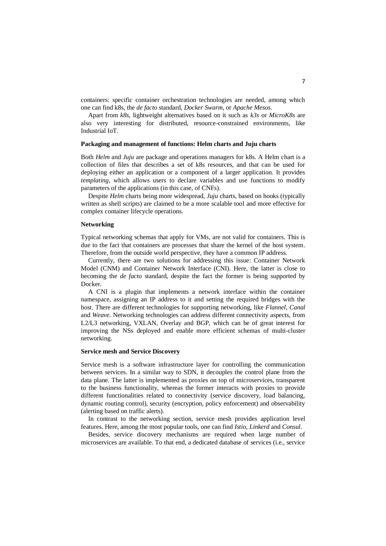containers: specific container orchestration technologies are needed, among which one can find k8s, the *de facto* standard, *Docker Swarm*, or *Apache Mesos*.

Apart from *k8s*, lightweight alternatives based on it such as *k3s* or *MicroK8s* are also very interesting for distributed, resource-constrained environments, like Industrial IoT.

#### **Packaging and management of functions: Helm charts and Juju charts**

Both *Helm* and *Juju* are package and operations managers for k8s. A Helm chart is a collection of files that describes a set of k8s resources, and that can be used for deploying either an application or a component of a larger application. It provides *templating*, which allows users to declare variables and use functions to modify parameters of the applications (in this case, of CNFs).

Despite *Helm* charts being more widespread, *Juju* charts, based on hooks (typically written as shell scripts) are claimed to be a more scalable tool and more effective for complex container lifecycle operations.

#### **Networking**

Typical networking schemas that apply for VMs, are not valid for containers. This is due to the fact that containers are processes that share the kernel of the host system. Therefore, from the outside world perspective, they have a common IP address.

Currently, there are two solutions for addressing this issue: Container Network Model (CNM) and Container Network Interface (CNI). Here, the latter is close to becoming the *de facto* standard, despite the fact the former is being supported by Docker.

A CNI is a plugin that implements a network interface within the container namespace, assigning an IP address to it and setting the required bridges with the host. There are different technologies for supporting networking, like *Flannel*, *Canal* and *Weave*. Networking technologies can address different connectivity aspects, from L2/L3 networking, VXLAN, Overlay and BGP, which can be of great interest for improving the NSs deployed and enable more efficient schemas of multi-cluster networking.

#### **Service mesh and Service Discovery**

Service mesh is a software infrastructure layer for controlling the communication between services. In a similar way to SDN, it decouples the control plane from the data plane. The latter is implemented as proxies on top of microservices, transparent to the business functionality, whereas the former interacts with proxies to provide different functionalities related to connectivity (service discovery, load balancing, dynamic routing control), security (encryption, policy enforcement) and observability (alerting based on traffic alerts).

In contrast to the networking section, service mesh provides application level features. Here, among the most popular tools, one can find *Istio*, *Linkerd* and *Consul*.

Besides, service discovery mechanisms are required when large number of microservices are available. To that end, a dedicated database of services (i.e., service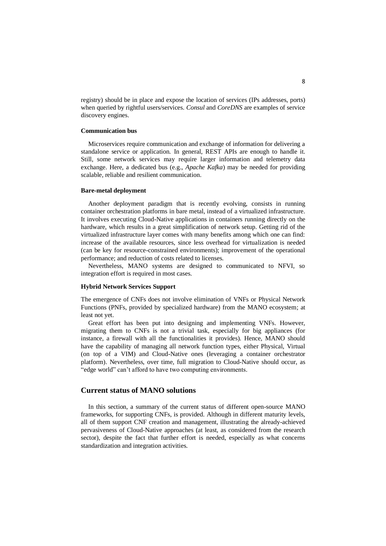registry) should be in place and expose the location of services (IPs addresses, ports) when queried by rightful users/services. *Consul* and *CoreDNS* are examples of service discovery engines.

#### **Communication bus**

Microservices require communication and exchange of information for delivering a standalone service or application. In general, REST APIs are enough to handle it. Still, some network services may require larger information and telemetry data exchange. Here, a dedicated bus (e.g., *Apache Kafka*) may be needed for providing scalable, reliable and resilient communication.

#### **Bare-metal deployment**

Another deployment paradigm that is recently evolving, consists in running container orchestration platforms in bare metal, instead of a virtualized infrastructure. It involves executing Cloud-Native applications in containers running directly on the hardware, which results in a great simplification of network setup. Getting rid of the virtualized infrastructure layer comes with many benefits among which one can find: increase of the available resources, since less overhead for virtualization is needed (can be key for resource-constrained environments); improvement of the operational performance; and reduction of costs related to licenses.

Nevertheless, MANO systems are designed to communicated to NFVI, so integration effort is required in most cases.

#### **Hybrid Network Services Support**

The emergence of CNFs does not involve elimination of VNFs or Physical Network Functions (PNFs, provided by specialized hardware) from the MANO ecosystem; at least not yet.

Great effort has been put into designing and implementing VNFs. However, migrating them to CNFs is not a trivial task, especially for big appliances (for instance, a firewall with all the functionalities it provides). Hence, MANO should have the capability of managing all network function types, either Physical, Virtual (on top of a VIM) and Cloud-Native ones (leveraging a container orchestrator platform). Nevertheless, over time, full migration to Cloud-Native should occur, as "edge world" can't afford to have two computing environments.

#### **Current status of MANO solutions**

In this section, a summary of the current status of different open-source MANO frameworks, for supporting CNFs, is provided. Although in different maturity levels, all of them support CNF creation and management, illustrating the already-achieved pervasiveness of Cloud-Native approaches (at least, as considered from the research sector), despite the fact that further effort is needed, especially as what concerns standardization and integration activities.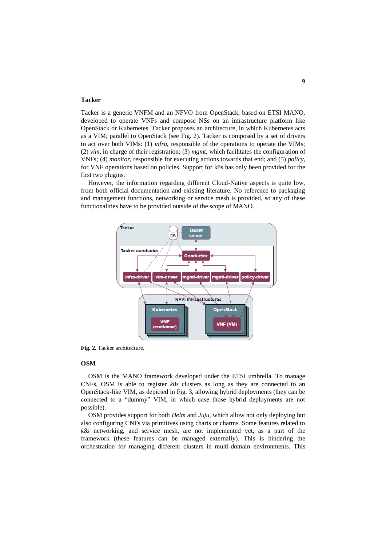#### **Tacker**

Tacker is a generic VNFM and an NFVO from OpenStack, based on ETSI MANO, developed to operate VNFs and compose NSs on an infrastructure platform like OpenStack or Kubernetes. Tacker proposes an architecture, in which Kubernetes acts as a VIM, parallel to OpenStack (see [Fig.](#page-8-0) 2). Tacker is composed by a set of drivers to act over both VIMs: (1) *infra*, responsible of the operations to operate the VIMs; (2) *vim*, in charge of their registration; (3) *mgmt*, which facilitates the configuration of VNFs; (4) *monitor*, responsible for executing actions towards that end; and (5) *policy*, for VNF operations based on policies. Support for k8s has only been provided for the first two plugins.

However, the information regarding different Cloud-Native aspects is quite low, from both official documentation and existing literature. No reference to packaging and management functions, networking or service mesh is provided, so any of these functionalities have to be provided outside of the scope of MANO.



<span id="page-8-0"></span>**Fig. 2.** Tacker architecture.

#### **OSM**

OSM is the MANO framework developed under the ETSI umbrella. To manage CNFs. OSM is able to register  $k8s$  clusters as long as they are connected to an OpenStack-like VIM, as depicted in [Fig. 3,](#page-9-0) allowing hybrid deployments (they can be connected to a "dummy" VIM, in which case those hybrid deployments are not possible).

OSM provides support for both *Helm* and *Juju*, which allow not only deploying but also configuring CNFs via primitives using charts or charms. Some features related to *k8s* networking, and service mesh, are not implemented yet, as a part of the framework (these features can be managed externally). This is hindering the orchestration for managing different clusters in multi-domain environments. This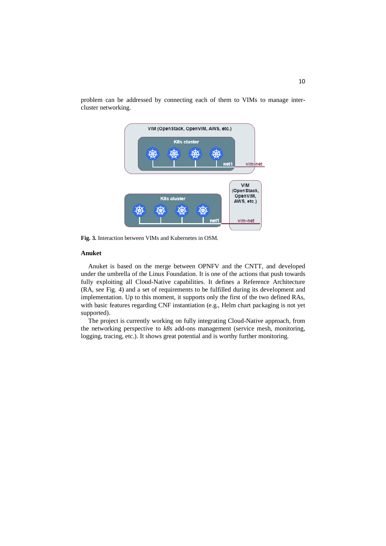

problem can be addressed by connecting each of them to VIMs to manage intercluster networking.

<span id="page-9-0"></span>**Fig. 3.** Interaction between VIMs and Kubernetes in OSM.

#### **Anuket**

Anuket is based on the merge between OPNFV and the CNTT, and developed under the umbrella of the Linux Foundation. It is one of the actions that push towards fully exploiting all Cloud-Native capabilities. It defines a Reference Architecture (RA, see [Fig. 4\)](#page-10-0) and a set of requirements to be fulfilled during its development and implementation. Up to this moment, it supports only the first of the two defined RAs, with basic features regarding CNF instantiation (e.g., Helm chart packaging is not yet supported).

The project is currently working on fully integrating Cloud-Native approach, from the networking perspective to *k8s* add-ons management (service mesh, monitoring, logging, tracing, etc.). It shows great potential and is worthy further monitoring.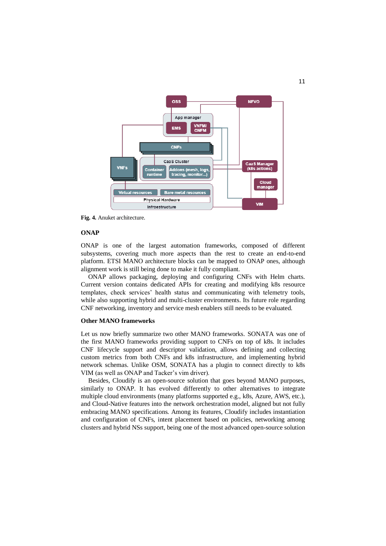

<span id="page-10-0"></span>**Fig. 4.** Anuket architecture.

#### **ONAP**

ONAP is one of the largest automation frameworks, composed of different subsystems, covering much more aspects than the rest to create an end-to-end platform. ETSI MANO architecture blocks can be mapped to ONAP ones, although alignment work is still being done to make it fully compliant.

ONAP allows packaging, deploying and configuring CNFs with Helm charts. Current version contains dedicated APIs for creating and modifying k8s resource templates, check services' health status and communicating with telemetry tools, while also supporting hybrid and multi-cluster environments. Its future role regarding CNF networking, inventory and service mesh enablers still needs to be evaluated.

#### **Other MANO frameworks**

Let us now briefly summarize two other MANO frameworks. SONATA was one of the first MANO frameworks providing support to CNFs on top of k8s. It includes CNF lifecycle support and descriptor validation, allows defining and collecting custom metrics from both CNFs and k8s infrastructure, and implementing hybrid network schemas. Unlike OSM, SONATA has a plugin to connect directly to k8s VIM (as well as ONAP and Tacker's vim driver).

Besides, Cloudify is an open-source solution that goes beyond MANO purposes, similarly to ONAP. It has evolved differently to other alternatives to integrate multiple cloud environments (many platforms supported e.g., k8s, Azure, AWS, etc.), and Cloud-Native features into the network orchestration model, aligned but not fully embracing MANO specifications. Among its features, Cloudify includes instantiation and configuration of CNFs, intent placement based on policies, networking among clusters and hybrid NSs support, being one of the most advanced open-source solution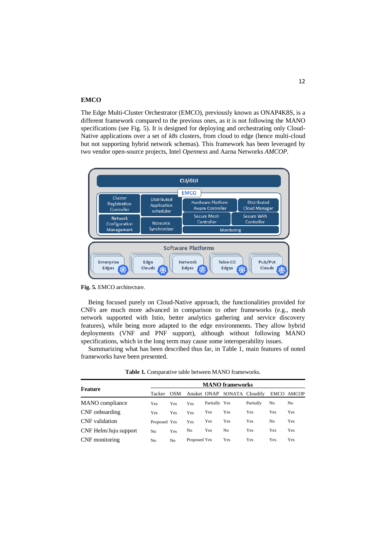#### **EMCO**

The Edge Multi-Cluster Orchestrator (EMCO), previously known as ONAP4K8S, is a different framework compared to the previous ones, as it is not following the MANO specifications (see [Fig. 5\)](#page-11-0). It is designed for deploying and orchestrating only Cloud-Native applications over a set of *k8s* clusters, from cloud to edge (hence multi-cloud but not supporting hybrid network schemas). This framework has been leveraged by two vendor open-source projects, Intel *Openness* and Aarna Networks *AMCOP.*



<span id="page-11-0"></span>**Fig. 5.** EMCO architecture.

Being focused purely on Cloud-Native approach, the functionalities provided for CNFs are much more advanced in comparison to other frameworks (e.g., mesh network supported with Istio, better analytics gathering and service discovery features), while being more adapted to the edge environments. They allow hybrid deployments (VNF and PNF support), although without following MANO specifications, which in the long term may cause some interoperability issues.

Summarizing what has been described thus far, in Table 1, main features of noted frameworks have been presented.

| Feature               |              | <b>MANO</b> frameworks |                |               |                             |            |     |            |  |  |  |
|-----------------------|--------------|------------------------|----------------|---------------|-----------------------------|------------|-----|------------|--|--|--|
|                       | Tacker       | <b>OSM</b>             |                |               | Anuket ONAP SONATA Cloudify |            |     | EMCO AMCOP |  |  |  |
| MANO compliance       | Yes          | Yes                    | Yes            | Partially Yes |                             | Partially  | No  | No         |  |  |  |
| CNF onboarding        | Yes          | <b>Yes</b>             | Yes            | Yes           | Yes                         | Yes        | Yes | Yes        |  |  |  |
| CNF validation        | Proposed Yes |                        | Yes            | Yes           | Yes                         | Yes        | No  | Yes        |  |  |  |
| CNF Helm/Juju support | No           | Yes                    | N <sub>0</sub> | Yes           | No                          | <b>Yes</b> | Yes | Yes        |  |  |  |
| CNF monitoring        | No           | No                     | Proposed Yes   |               | Yes                         | Yes        | Yes | Yes        |  |  |  |

**Table 1.** Comparative table between MANO frameworks.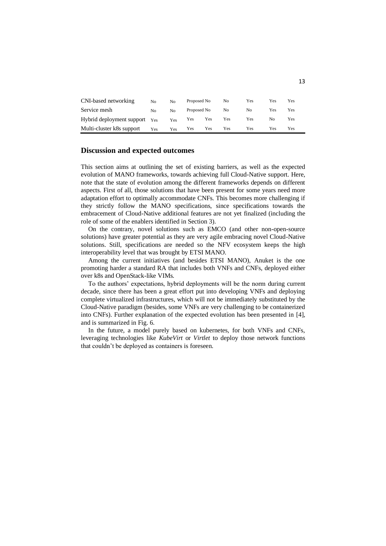| CNI-based networking          | No  | No  | Proposed No |     | No  | Yes | Yes | Yes |
|-------------------------------|-----|-----|-------------|-----|-----|-----|-----|-----|
| Service mesh                  | No  | No  | Proposed No |     | No. | No  | Yes | Yes |
| Hybrid deployment support Yes |     | Yes | Yes         | Yes | Yes | Yes | No  | Yes |
| Multi-cluster k8s support     | Yes | Yes | Yes         | Yes | Yes | Yes | Yes | Yes |

#### **Discussion and expected outcomes**

This section aims at outlining the set of existing barriers, as well as the expected evolution of MANO frameworks, towards achieving full Cloud-Native support. Here, note that the state of evolution among the different frameworks depends on different aspects. First of all, those solutions that have been present for some years need more adaptation effort to optimally accommodate CNFs. This becomes more challenging if they strictly follow the MANO specifications, since specifications towards the embracement of Cloud-Native additional features are not yet finalized (including the role of some of the enablers identified in Section 3).

On the contrary, novel solutions such as EMCO (and other non-open-source solutions) have greater potential as they are very agile embracing novel Cloud-Native solutions. Still, specifications are needed so the NFV ecosystem keeps the high interoperability level that was brought by ETSI MANO.

Among the current initiatives (and besides ETSI MANO), Anuket is the one promoting harder a standard RA that includes both VNFs and CNFs, deployed either over k8s and OpenStack-like VIMs.

To the authors' expectations, hybrid deployments will be the norm during current decade, since there has been a great effort put into developing VNFs and deploying complete virtualized infrastructures, which will not be immediately substituted by the Cloud-Native paradigm (besides, some VNFs are very challenging to be containerized into CNFs). Further explanation of the expected evolution has been presented in [4], and is summarized in [Fig. 6.](#page-13-0)

In the future, a model purely based on kubernetes, for both VNFs and CNFs, leveraging technologies like *KubeVirt* or *Virtlet* to deploy those network functions that couldn't be deployed as containers is foreseen.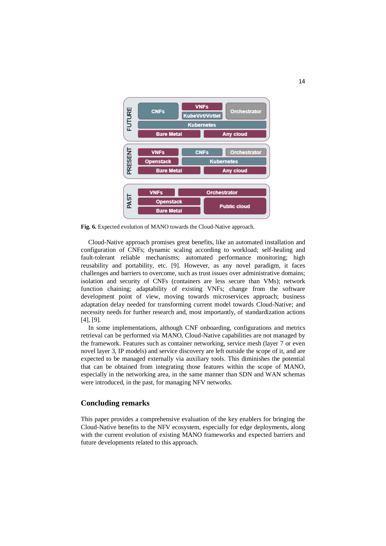

<span id="page-13-0"></span>**Fig. 6.** Expected evolution of MANO towards the Cloud-Native approach.

Cloud-Native approach promises great benefits, like an automated installation and configuration of CNFs; dynamic scaling according to workload; self-healing and fault-tolerant reliable mechanisms; automated performance monitoring; high reusability and portability, etc. [9]. However, as any novel paradigm, it faces challenges and barriers to overcome, such as trust issues over administrative domains; isolation and security of CNFs (containers are less secure than VMs); network function chaining; adaptability of existing VNFs; change from the software development point of view, moving towards microservices approach; business adaptation delay needed for transforming current model towards Cloud-Native; and necessity needs for further research and, most importantly, of standardization actions [4], [9].

In some implementations, although CNF onboarding, configurations and metrics retrieval can be performed via MANO, Cloud-Native capabilities are not managed by the framework. Features such as container networking, service mesh (layer 7 or even novel layer 3, IP models) and service discovery are left outside the scope of it, and are expected to be managed externally via auxiliary tools. This diminishes the potential that can be obtained from integrating those features within the scope of MANO, especially in the networking area, in the same manner than SDN and WAN schemas were introduced, in the past, for managing NFV networks.

#### **Concluding remarks**

This paper provides a comprehensive evaluation of the key enablers for bringing the Cloud-Native benefits to the NFV ecosystem, especially for edge deployments, along with the current evolution of existing MANO frameworks and expected barriers and future developments related to this approach.